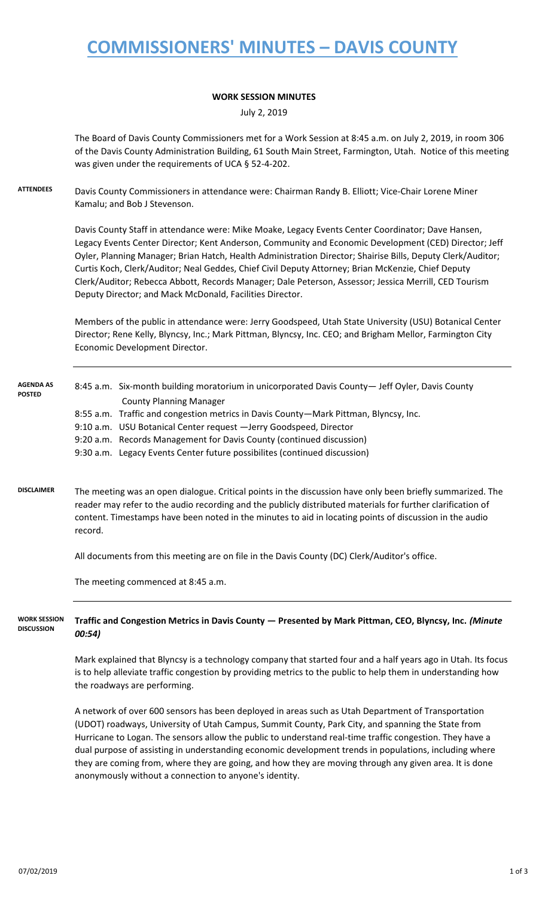# **COMMISSIONERS' MINUTES – DAVIS COUNTY**

#### **WORK SESSION MINUTES**

July 2, 2019

The Board of Davis County Commissioners met for a Work Session at 8:45 a.m. on July 2, 2019, in room 306 of the Davis County Administration Building, 61 South Main Street, Farmington, Utah. Notice of this meeting was given under the requirements of UCA § 52-4-202.

**ATTENDEES** Davis County Commissioners in attendance were: Chairman Randy B. Elliott; Vice-Chair Lorene Miner Kamalu; and Bob J Stevenson.

> Davis County Staff in attendance were: Mike Moake, Legacy Events Center Coordinator; Dave Hansen, Legacy Events Center Director; Kent Anderson, Community and Economic Development (CED) Director; Jeff Oyler, Planning Manager; Brian Hatch, Health Administration Director; Shairise Bills, Deputy Clerk/Auditor; Curtis Koch, Clerk/Auditor; Neal Geddes, Chief Civil Deputy Attorney; Brian McKenzie, Chief Deputy Clerk/Auditor; Rebecca Abbott, Records Manager; Dale Peterson, Assessor; Jessica Merrill, CED Tourism Deputy Director; and Mack McDonald, Facilities Director.

> Members of the public in attendance were: Jerry Goodspeed, Utah State University (USU) Botanical Center Director; Rene Kelly, Blyncsy, Inc.; Mark Pittman, Blyncsy, Inc. CEO; and Brigham Mellor, Farmington City Economic Development Director.

| <b>AGENDA AS</b><br><b>POSTED</b> |                                                                                                                                                                                                                           | 8:45 a.m. Six-month building moratorium in unicorporated Davis County— Jeff Oyler, Davis County |
|-----------------------------------|---------------------------------------------------------------------------------------------------------------------------------------------------------------------------------------------------------------------------|-------------------------------------------------------------------------------------------------|
|                                   |                                                                                                                                                                                                                           | <b>County Planning Manager</b>                                                                  |
|                                   |                                                                                                                                                                                                                           | 8:55 a.m. Traffic and congestion metrics in Davis County—Mark Pittman, Blyncsy, Inc.            |
|                                   |                                                                                                                                                                                                                           | 9:10 a.m. USU Botanical Center request - Jerry Goodspeed, Director                              |
|                                   |                                                                                                                                                                                                                           | 9:20 a.m. Records Management for Davis County (continued discussion)                            |
|                                   |                                                                                                                                                                                                                           | 9:30 a.m. Legacy Events Center future possibilites (continued discussion)                       |
|                                   |                                                                                                                                                                                                                           |                                                                                                 |
| <b>DISCLAIMER</b>                 | The meeting was an open dialogue. Critical points in the discussion have only been briefly summarized. The<br>reader may refer to the audio recording and the publicly distributed materials for further clarification of |                                                                                                 |
|                                   |                                                                                                                                                                                                                           |                                                                                                 |

All documents from this meeting are on file in the Davis County (DC) Clerk/Auditor's office.

content. Timestamps have been noted in the minutes to aid in locating points of discussion in the audio

The meeting commenced at 8:45 a.m.

record.

#### **Traffic and Congestion Metrics in Davis County — Presented by Mark Pittman, CEO, Blyncsy, Inc.** *(Minute 00:54)* **WORK SESSION DISCUSSION**

Mark explained that Blyncsy is a technology company that started four and a half years ago in Utah. Its focus is to help alleviate traffic congestion by providing metrics to the public to help them in understanding how the roadways are performing.

A network of over 600 sensors has been deployed in areas such as Utah Department of Transportation (UDOT) roadways, University of Utah Campus, Summit County, Park City, and spanning the State from Hurricane to Logan. The sensors allow the public to understand real-time traffic congestion. They have a dual purpose of assisting in understanding economic development trends in populations, including where they are coming from, where they are going, and how they are moving through any given area. It is done anonymously without a connection to anyone's identity.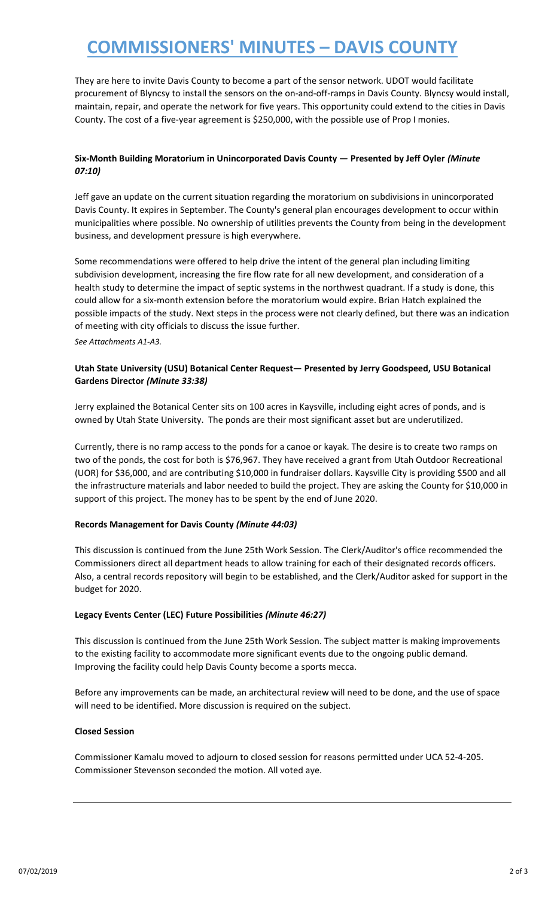# **COMMISSIONERS' MINUTES – DAVIS COUNTY**

They are here to invite Davis County to become a part of the sensor network. UDOT would facilitate procurement of Blyncsy to install the sensors on the on-and-off-ramps in Davis County. Blyncsy would install, maintain, repair, and operate the network for five years. This opportunity could extend to the cities in Davis County. The cost of a five-year agreement is \$250,000, with the possible use of Prop I monies.

### **Six-Month Building Moratorium in Unincorporated Davis County — Presented by Jeff Oyler** *(Minute 07:10)*

Jeff gave an update on the current situation regarding the moratorium on subdivisions in unincorporated Davis County. It expires in September. The County's general plan encourages development to occur within municipalities where possible. No ownership of utilities prevents the County from being in the development business, and development pressure is high everywhere.

Some recommendations were offered to help drive the intent of the general plan including limiting subdivision development, increasing the fire flow rate for all new development, and consideration of a health study to determine the impact of septic systems in the northwest quadrant. If a study is done, this could allow for a six-month extension before the moratorium would expire. Brian Hatch explained the possible impacts of the study. Next steps in the process were not clearly defined, but there was an indication of meeting with city officials to discuss the issue further.

*See Attachments A1-A3.*

#### **Utah State University (USU) Botanical Center Request— Presented by Jerry Goodspeed, USU Botanical Gardens Director** *(Minute 33:38)*

Jerry explained the Botanical Center sits on 100 acres in Kaysville, including eight acres of ponds, and is owned by Utah State University. The ponds are their most significant asset but are underutilized.

Currently, there is no ramp access to the ponds for a canoe or kayak. The desire is to create two ramps on two of the ponds, the cost for both is \$76,967. They have received a grant from Utah Outdoor Recreational (UOR) for \$36,000, and are contributing \$10,000 in fundraiser dollars. Kaysville City is providing \$500 and all the infrastructure materials and labor needed to build the project. They are asking the County for \$10,000 in support of this project. The money has to be spent by the end of June 2020.

#### **Records Management for Davis County** *(Minute 44:03)*

This discussion is continued from the June 25th Work Session. The Clerk/Auditor's office recommended the Commissioners direct all department heads to allow training for each of their designated records officers. Also, a central records repository will begin to be established, and the Clerk/Auditor asked for support in the budget for 2020.

#### **Legacy Events Center (LEC) Future Possibilities** *(Minute 46:27)*

This discussion is continued from the June 25th Work Session. The subject matter is making improvements to the existing facility to accommodate more significant events due to the ongoing public demand. Improving the facility could help Davis County become a sports mecca.

Before any improvements can be made, an architectural review will need to be done, and the use of space will need to be identified. More discussion is required on the subject.

#### **Closed Session**

Commissioner Kamalu moved to adjourn to closed session for reasons permitted under UCA 52-4-205. Commissioner Stevenson seconded the motion. All voted aye.